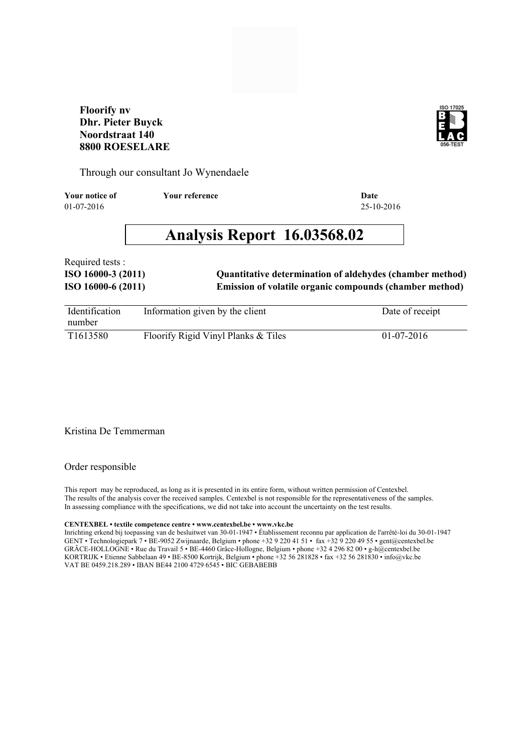### **Floorify nv Dhr. Pieter Buyck Noordstraat 140 8800 ROESELARE**



Through our consultant Jo Wynendaele

01-07-2016 25-10-2016 **Your notice of Your reference Date**

# **Analysis Report 16.03568.02**

Required tests :

**ISO 16000-6 (2011) Emission of volatile organic compounds (chamber method) ISO 16000-3 (2011) Quantitative determination of aldehydes (chamber method)**

| Identification | Information given by the client     | Date of receipt |
|----------------|-------------------------------------|-----------------|
| number         |                                     |                 |
| T1613580       | Floorify Rigid Vinyl Planks & Tiles | $01-07-2016$    |

#### Kristina De Temmerman

#### Order responsible

This report may be reproduced, as long as it is presented in its entire form, without written permission of Centexbel. The results of the analysis cover the received samples. Centexbel is not responsible for the representativeness of the samples. In assessing compliance with the specifications, we did not take into account the uncertainty on the test results.

#### **CENTEXBEL • textile competence centre • www.centexbel.be • www.vkc.be**

Inrichting erkend bij toepassing van de besluitwet van 30-01-1947 • Établissement reconnu par application de l'arrêté-loi du 30-01-1947 GENT • Technologiepark 7 • BE-9052 Zwijnaarde, Belgium • phone +32 9 220 41 51 • fax +32 9 220 49 55 • gent@centexbel.be GRÂCE-HOLLOGNE • Rue du Travail 5 • BE-4460 Grâce-Hollogne, Belgium • phone +32 4 296 82 00 • g-h@centexbel.be KORTRIJK • Etienne Sabbelaan 49 • BE-8500 Kortrijk, Belgium • phone +32 56 281828 • fax +32 56 281830 • info@vkc.be VAT BE 0459.218.289 • IBAN BE44 2100 4729 6545 • BIC GEBABEBB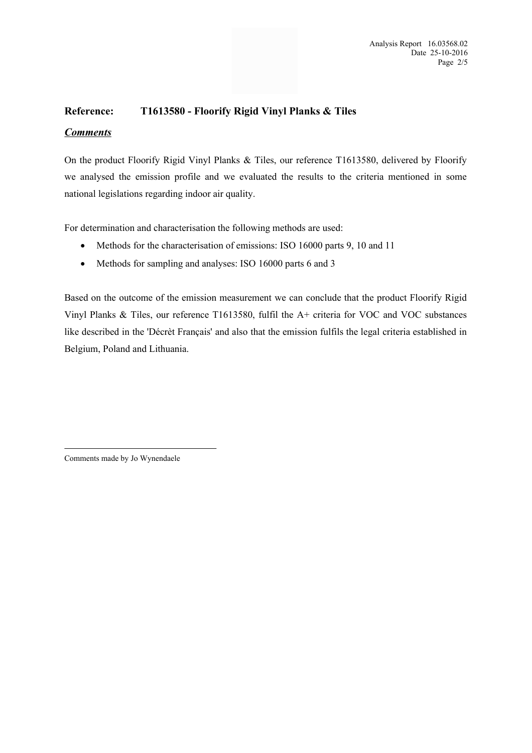### **Reference: T1613580 - Floorify Rigid Vinyl Planks & Tiles**

### *Comments*

On the product Floorify Rigid Vinyl Planks & Tiles, our reference T1613580, delivered by Floorify we analysed the emission profile and we evaluated the results to the criteria mentioned in some national legislations regarding indoor air quality.

For determination and characterisation the following methods are used:

- Methods for the characterisation of emissions: ISO 16000 parts 9, 10 and 11
- Methods for sampling and analyses: ISO 16000 parts 6 and 3

Based on the outcome of the emission measurement we can conclude that the product Floorify Rigid Vinyl Planks & Tiles, our reference T1613580, fulfil the A+ criteria for VOC and VOC substances like described in the 'Décrèt Français' and also that the emission fulfils the legal criteria established in Belgium, Poland and Lithuania.

Comments made by Jo Wynendaele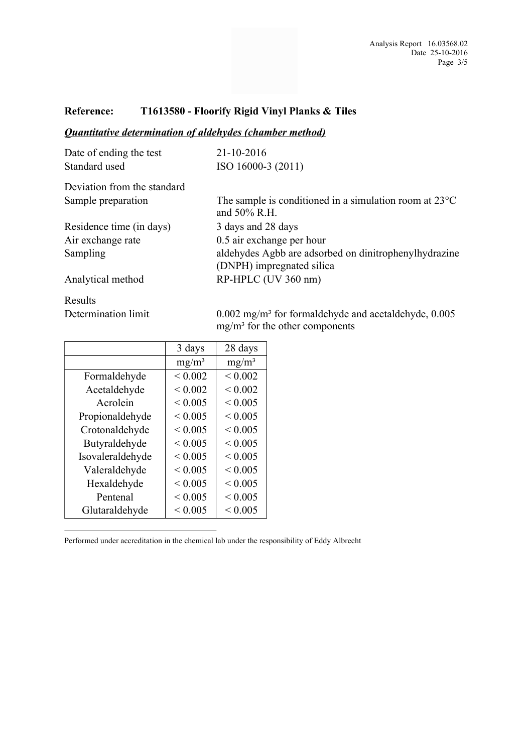### **Reference: T1613580 - Floorify Rigid Vinyl Planks & Tiles**

### *Quantitative determination of aldehydes (chamber method)*

| Date of ending the test     | 21-10-2016                                                                         |  |  |  |
|-----------------------------|------------------------------------------------------------------------------------|--|--|--|
| Standard used               | ISO 16000-3 (2011)                                                                 |  |  |  |
| Deviation from the standard |                                                                                    |  |  |  |
| Sample preparation          | The sample is conditioned in a simulation room at $23^{\circ}$ C<br>and 50% R.H.   |  |  |  |
| Residence time (in days)    | 3 days and 28 days                                                                 |  |  |  |
| Air exchange rate           | 0.5 air exchange per hour                                                          |  |  |  |
| Sampling                    | aldehydes Agbb are adsorbed on dinitrophenylhydrazine<br>(DNPH) impregnated silica |  |  |  |
| Analytical method           | RP-HPLC (UV 360 nm)                                                                |  |  |  |
| Results                     |                                                                                    |  |  |  |

Determination limit

0.002 mg/m³ for formaldehyde and acetaldehyde, 0.005 mg/m³ for the other components

|                  | 3 days      | 28 days     |
|------------------|-------------|-------------|
|                  | $mg/m^3$    | $mg/m^3$    |
| Formaldehyde     | ${}< 0.002$ | ${}< 0.002$ |
| Acetaldehyde     | ${}< 0.002$ | ${}< 0.002$ |
| Acrolein         | ${}< 0.005$ | < 0.005     |
| Propionaldehyde  | ${}< 0.005$ | < 0.005     |
| Crotonaldehyde   | ${}< 0.005$ | < 0.005     |
| Butyraldehyde    | < 0.005     | < 0.005     |
| Isovaleraldehyde | ${}< 0.005$ | ${}< 0.005$ |
| Valeraldehyde    | ${}< 0.005$ | ${}< 0.005$ |
| Hexaldehyde      | ${}< 0.005$ | < 0.005     |
| Pentenal         | ${}< 0.005$ | ${}< 0.005$ |
| Glutaraldehyde   | ${}< 0.005$ | ${}< 0.005$ |

Performed under accreditation in the chemical lab under the responsibility of Eddy Albrecht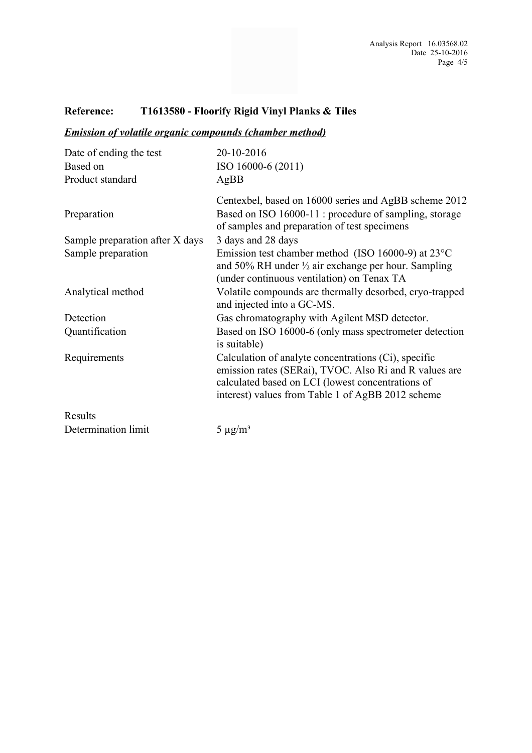# **Reference: T1613580 - Floorify Rigid Vinyl Planks & Tiles**

## *Emission of volatile organic compounds (chamber method)*

| 20-10-2016<br>ISO 16000-6 (2011)<br>AgBB                                                                                                                                                                                 |  |  |  |
|--------------------------------------------------------------------------------------------------------------------------------------------------------------------------------------------------------------------------|--|--|--|
| Centexbel, based on 16000 series and AgBB scheme 2012<br>Based on ISO 16000-11 : procedure of sampling, storage<br>of samples and preparation of test specimens                                                          |  |  |  |
| 3 days and 28 days                                                                                                                                                                                                       |  |  |  |
| Emission test chamber method (ISO 16000-9) at $23^{\circ}$ C<br>and 50% RH under 1/2 air exchange per hour. Sampling<br>(under continuous ventilation) on Tenax TA                                                       |  |  |  |
| Volatile compounds are thermally desorbed, cryo-trapped<br>and injected into a GC-MS.                                                                                                                                    |  |  |  |
| Gas chromatography with Agilent MSD detector.                                                                                                                                                                            |  |  |  |
| Based on ISO 16000-6 (only mass spectrometer detection<br>is suitable)                                                                                                                                                   |  |  |  |
| Calculation of analyte concentrations (Ci), specific<br>emission rates (SERai), TVOC. Also Ri and R values are<br>calculated based on LCI (lowest concentrations of<br>interest) values from Table 1 of AgBB 2012 scheme |  |  |  |
|                                                                                                                                                                                                                          |  |  |  |
| $5 \mu g/m^3$                                                                                                                                                                                                            |  |  |  |
|                                                                                                                                                                                                                          |  |  |  |